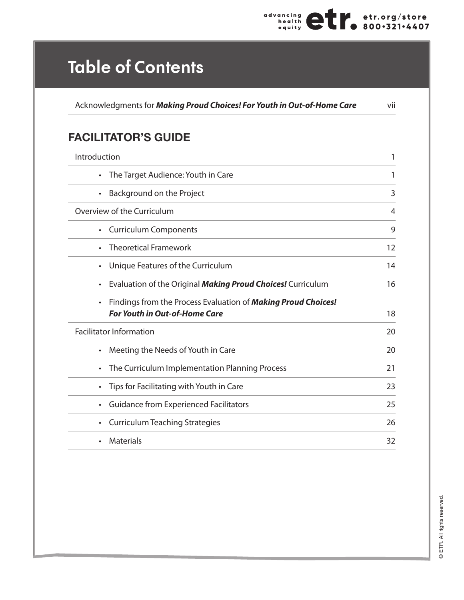

## **Table of Contents**

Acknowledgments for *Making Proud Choices! For Youth in Out-of-Home Care* vii

## **FACILITATOR'S GUIDE**

| Introduction                                                                                                       | 1  |
|--------------------------------------------------------------------------------------------------------------------|----|
| The Target Audience: Youth in Care<br>$\bullet$                                                                    | 1  |
| Background on the Project<br>$\bullet$                                                                             | 3  |
| Overview of the Curriculum                                                                                         | 4  |
| <b>Curriculum Components</b><br>$\bullet$                                                                          | 9  |
| <b>Theoretical Framework</b>                                                                                       | 12 |
| Unique Features of the Curriculum<br>$\bullet$                                                                     | 14 |
| Evaluation of the Original Making Proud Choices! Curriculum<br>$\bullet$                                           | 16 |
| Findings from the Process Evaluation of Making Proud Choices!<br>$\bullet$<br><b>For Youth in Out-of-Home Care</b> | 18 |
| <b>Facilitator Information</b>                                                                                     | 20 |
| Meeting the Needs of Youth in Care<br>$\bullet$                                                                    | 20 |
| The Curriculum Implementation Planning Process<br>$\bullet$                                                        | 21 |
| Tips for Facilitating with Youth in Care<br>$\bullet$                                                              | 23 |
| <b>Guidance from Experienced Facilitators</b><br>$\bullet$                                                         | 25 |
| <b>Curriculum Teaching Strategies</b><br>$\bullet$                                                                 | 26 |
| <b>Materials</b><br>$\bullet$                                                                                      | 32 |